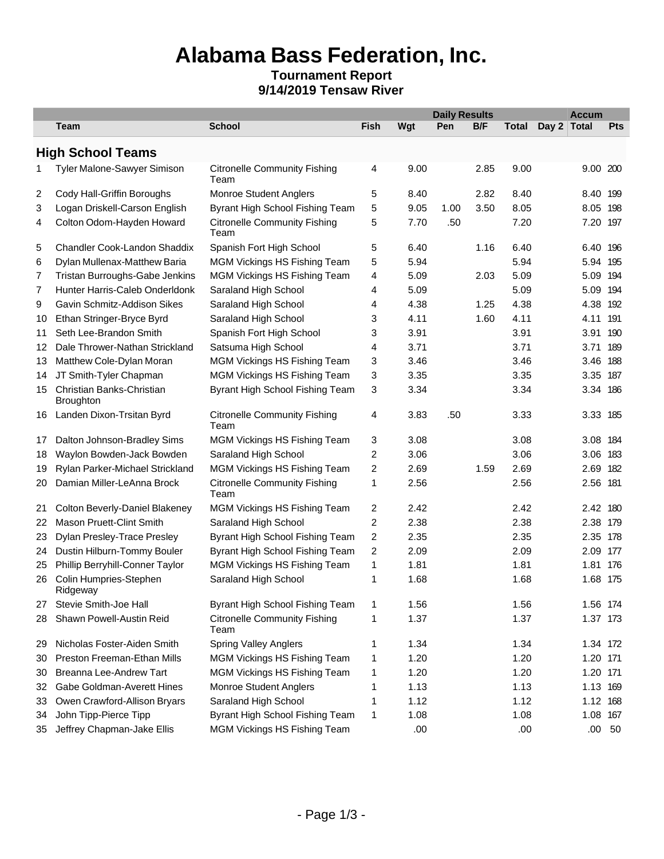# **Alabama Bass Federation, Inc.**

### **Tournament Report 9/14/2019 Tensaw River**

|                |                                               |                                             |                         |      | <b>Daily Results</b> |      |       |             | <b>Accum</b> |            |  |
|----------------|-----------------------------------------------|---------------------------------------------|-------------------------|------|----------------------|------|-------|-------------|--------------|------------|--|
|                | <b>Team</b>                                   | <b>School</b>                               | <b>Fish</b>             | Wgt  | Pen                  | B/F  | Total | Day 2 Total |              | <b>Pts</b> |  |
|                | <b>High School Teams</b>                      |                                             |                         |      |                      |      |       |             |              |            |  |
| 1              | <b>Tyler Malone-Sawyer Simison</b>            | <b>Citronelle Community Fishing</b><br>Team | 4                       | 9.00 |                      | 2.85 | 9.00  |             | 9.00 200     |            |  |
| $\overline{2}$ | Cody Hall-Griffin Boroughs                    | <b>Monroe Student Anglers</b>               | 5                       | 8.40 |                      | 2.82 | 8.40  |             | 8.40         | 199        |  |
| 3              | Logan Driskell-Carson English                 | Byrant High School Fishing Team             | 5                       | 9.05 | 1.00                 | 3.50 | 8.05  |             | 8.05         | 198        |  |
| 4              | Colton Odom-Hayden Howard                     | <b>Citronelle Community Fishing</b><br>Team | 5                       | 7.70 | .50                  |      | 7.20  |             | 7.20         | 197        |  |
| 5              | Chandler Cook-Landon Shaddix                  | Spanish Fort High School                    | 5                       | 6.40 |                      | 1.16 | 6.40  |             | 6.40         | 196        |  |
| 6              | Dylan Mullenax-Matthew Baria                  | MGM Vickings HS Fishing Team                | 5                       | 5.94 |                      |      | 5.94  |             | 5.94         | 195        |  |
| 7              | Tristan Burroughs-Gabe Jenkins                | <b>MGM Vickings HS Fishing Team</b>         | 4                       | 5.09 |                      | 2.03 | 5.09  |             | 5.09         | 194        |  |
| 7              | Hunter Harris-Caleb Onderldonk                | Saraland High School                        | 4                       | 5.09 |                      |      | 5.09  |             | 5.09         | 194        |  |
| 9              | Gavin Schmitz-Addison Sikes                   | Saraland High School                        | 4                       | 4.38 |                      | 1.25 | 4.38  |             | 4.38         | 192        |  |
| 10             | Ethan Stringer-Bryce Byrd                     | Saraland High School                        | 3                       | 4.11 |                      | 1.60 | 4.11  |             | 4.11         | 191        |  |
| 11             | Seth Lee-Brandon Smith                        | Spanish Fort High School                    | 3                       | 3.91 |                      |      | 3.91  |             | 3.91         | 190        |  |
| 12             | Dale Thrower-Nathan Strickland                | Satsuma High School                         | 4                       | 3.71 |                      |      | 3.71  |             | 3.71         | 189        |  |
| 13             | Matthew Cole-Dylan Moran                      | <b>MGM Vickings HS Fishing Team</b>         | 3                       | 3.46 |                      |      | 3.46  |             | 3.46         | 188        |  |
| 14             | JT Smith-Tyler Chapman                        | MGM Vickings HS Fishing Team                | 3                       | 3.35 |                      |      | 3.35  |             | 3.35         | 187        |  |
| 15             | Christian Banks-Christian<br><b>Broughton</b> | Byrant High School Fishing Team             | 3                       | 3.34 |                      |      | 3.34  |             | 3.34 186     |            |  |
| 16             | Landen Dixon-Trsitan Byrd                     | <b>Citronelle Community Fishing</b><br>Team | 4                       | 3.83 | .50                  |      | 3.33  |             | 3.33 185     |            |  |
| 17             | Dalton Johnson-Bradley Sims                   | MGM Vickings HS Fishing Team                | 3                       | 3.08 |                      |      | 3.08  |             | 3.08 184     |            |  |
| 18             | Waylon Bowden-Jack Bowden                     | Saraland High School                        | 2                       | 3.06 |                      |      | 3.06  |             | 3.06         | 183        |  |
| 19             | Rylan Parker-Michael Strickland               | MGM Vickings HS Fishing Team                | 2                       | 2.69 |                      | 1.59 | 2.69  |             | 2.69         | 182        |  |
| 20             | Damian Miller-LeAnna Brock                    | <b>Citronelle Community Fishing</b><br>Team | 1                       | 2.56 |                      |      | 2.56  |             | 2.56         | 181        |  |
| 21             | Colton Beverly-Daniel Blakeney                | MGM Vickings HS Fishing Team                | 2                       | 2.42 |                      |      | 2.42  |             | 2.42         | 180        |  |
| 22             | Mason Pruett-Clint Smith                      | Saraland High School                        | $\overline{\mathbf{c}}$ | 2.38 |                      |      | 2.38  |             | 2.38         | 179        |  |
| 23             | Dylan Presley-Trace Presley                   | Byrant High School Fishing Team             | 2                       | 2.35 |                      |      | 2.35  |             | 2.35         | 178        |  |
| 24             | Dustin Hilburn-Tommy Bouler                   | Byrant High School Fishing Team             | $\overline{\mathbf{c}}$ | 2.09 |                      |      | 2.09  |             | 2.09         | 177        |  |
| 25             | Phillip Berryhill-Conner Taylor               | MGM Vickings HS Fishing Team                | 1                       | 1.81 |                      |      | 1.81  |             | 1.81         | 176        |  |
| 26             | Colin Humpries-Stephen<br>Ridgeway            | Saraland High School                        | 1                       | 1.68 |                      |      | 1.68  |             | 1.68         | 175        |  |
| 27             | Stevie Smith-Joe Hall                         | Byrant High School Fishing Team             | 1                       | 1.56 |                      |      | 1.56  |             | 1.56 174     |            |  |
| 28             | Shawn Powell-Austin Reid                      | <b>Citronelle Community Fishing</b><br>Team | 1                       | 1.37 |                      |      | 1.37  |             | 1.37 173     |            |  |
| 29             | Nicholas Foster-Aiden Smith                   | <b>Spring Valley Anglers</b>                | 1                       | 1.34 |                      |      | 1.34  |             | 1.34 172     |            |  |
| 30             | Preston Freeman-Ethan Mills                   | MGM Vickings HS Fishing Team                | 1                       | 1.20 |                      |      | 1.20  |             | 1.20 171     |            |  |
| 30             | Breanna Lee-Andrew Tart                       | MGM Vickings HS Fishing Team                | 1                       | 1.20 |                      |      | 1.20  |             | 1.20 171     |            |  |
| 32             | Gabe Goldman-Averett Hines                    | Monroe Student Anglers                      | 1                       | 1.13 |                      |      | 1.13  |             | 1.13 169     |            |  |
| 33             | Owen Crawford-Allison Bryars                  | Saraland High School                        | 1                       | 1.12 |                      |      | 1.12  |             | 1.12 168     |            |  |
| 34             | John Tipp-Pierce Tipp                         | Byrant High School Fishing Team             | 1                       | 1.08 |                      |      | 1.08  |             | 1.08 167     |            |  |
| 35             | Jeffrey Chapman-Jake Ellis                    | MGM Vickings HS Fishing Team                |                         | .00. |                      |      | .00   |             |              | $.00\ 50$  |  |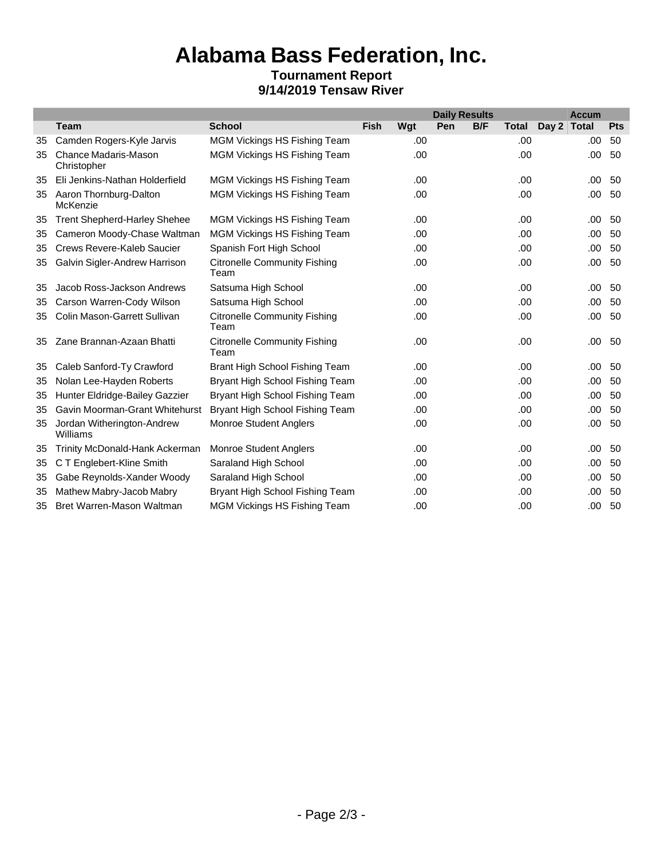## **Alabama Bass Federation, Inc. Tournament Report 9/14/2019 Tensaw River**

|    |                                        |                                             |             |      | <b>Daily Results</b> |     |              |             | <b>Accum</b> |     |
|----|----------------------------------------|---------------------------------------------|-------------|------|----------------------|-----|--------------|-------------|--------------|-----|
|    | <b>Team</b>                            | <b>School</b>                               | <b>Fish</b> | Wgt  | Pen                  | B/F | <b>Total</b> | Day 2 Total |              | Pts |
| 35 | Camden Rogers-Kyle Jarvis              | <b>MGM Vickings HS Fishing Team</b>         |             | .00  |                      |     | .00.         |             | .00.         | 50  |
| 35 | Chance Madaris-Mason<br>Christopher    | <b>MGM Vickings HS Fishing Team</b>         |             | .00. |                      |     | .00          |             | .00          | 50  |
| 35 | Eli Jenkins-Nathan Holderfield         | <b>MGM Vickings HS Fishing Team</b>         |             | .00  |                      |     | .00          |             | .00          | 50  |
| 35 | Aaron Thornburg-Dalton<br>McKenzie     | <b>MGM Vickings HS Fishing Team</b>         |             | .00  |                      |     | .00          |             | .00          | 50  |
| 35 | <b>Trent Shepherd-Harley Shehee</b>    | <b>MGM Vickings HS Fishing Team</b>         |             | .00  |                      |     | .00.         |             | .00          | 50  |
| 35 | Cameron Moody-Chase Waltman            | <b>MGM Vickings HS Fishing Team</b>         |             | .00  |                      |     | .00          |             | .00          | 50  |
| 35 | Crews Revere-Kaleb Saucier             | Spanish Fort High School                    |             | .00  |                      |     | .00          |             | .00          | 50  |
| 35 | Galvin Sigler-Andrew Harrison          | <b>Citronelle Community Fishing</b><br>Team |             | .00  |                      |     | .00          |             | .00          | 50  |
| 35 | Jacob Ross-Jackson Andrews             | Satsuma High School                         |             | .00  |                      |     | .00          |             | .00          | -50 |
| 35 | Carson Warren-Cody Wilson              | Satsuma High School                         |             | .00  |                      |     | .00          |             | .00          | 50  |
| 35 | Colin Mason-Garrett Sullivan           | <b>Citronelle Community Fishing</b><br>Team |             | .00  |                      |     | .00          |             | .00          | 50  |
| 35 | Zane Brannan-Azaan Bhatti              | <b>Citronelle Community Fishing</b><br>Team |             | .00  |                      |     | .00          |             | .00          | 50  |
| 35 | Caleb Sanford-Ty Crawford              | Brant High School Fishing Team              |             | .00  |                      |     | .00          |             | .00          | 50  |
| 35 | Nolan Lee-Hayden Roberts               | Bryant High School Fishing Team             |             | .00  |                      |     | .00          |             | .00          | 50  |
| 35 | Hunter Eldridge-Bailey Gazzier         | Bryant High School Fishing Team             |             | .00  |                      |     | .00          |             | .00          | 50  |
| 35 | Gavin Moorman-Grant Whitehurst         | Bryant High School Fishing Team             |             | .00  |                      |     | .00          |             | .00          | 50  |
| 35 | Jordan Witherington-Andrew<br>Williams | Monroe Student Anglers                      |             | .00  |                      |     | .00          |             | .00          | 50  |
| 35 | Trinity McDonald-Hank Ackerman         | <b>Monroe Student Anglers</b>               |             | .00. |                      |     | .00          |             | .00          | 50  |
| 35 | C T Englebert-Kline Smith              | Saraland High School                        |             | .00  |                      |     | .00.         |             | .00          | 50  |
| 35 | Gabe Reynolds-Xander Woody             | Saraland High School                        |             | .00  |                      |     | .00          |             | .00          | 50  |
| 35 | Mathew Mabry-Jacob Mabry               | Bryant High School Fishing Team             |             | .00  |                      |     | .00          |             | .00          | 50  |
| 35 | Bret Warren-Mason Waltman              | <b>MGM Vickings HS Fishing Team</b>         |             | .00  |                      |     | .00          |             | .00          | 50  |